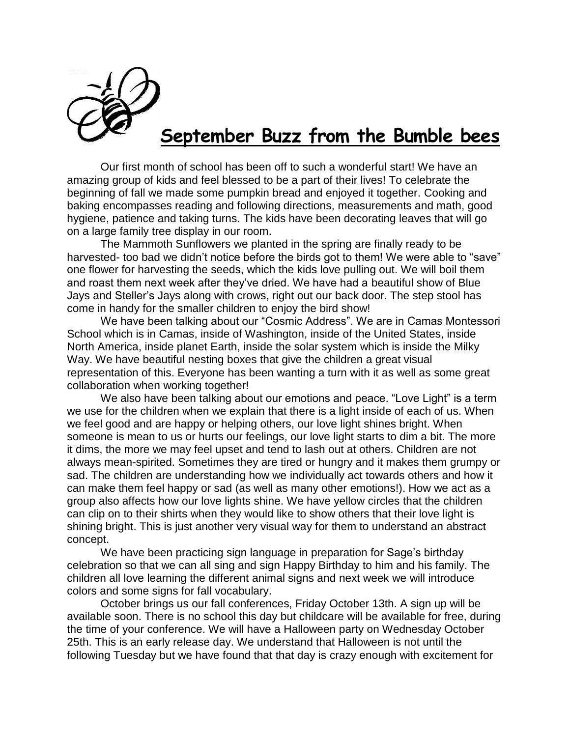

## **September Buzz from the Bumble bees**

Our first month of school has been off to such a wonderful start! We have an amazing group of kids and feel blessed to be a part of their lives! To celebrate the beginning of fall we made some pumpkin bread and enjoyed it together. Cooking and baking encompasses reading and following directions, measurements and math, good hygiene, patience and taking turns. The kids have been decorating leaves that will go on a large family tree display in our room.

The Mammoth Sunflowers we planted in the spring are finally ready to be harvested- too bad we didn't notice before the birds got to them! We were able to "save" one flower for harvesting the seeds, which the kids love pulling out. We will boil them and roast them next week after they've dried. We have had a beautiful show of Blue Jays and Steller's Jays along with crows, right out our back door. The step stool has come in handy for the smaller children to enjoy the bird show!

We have been talking about our "Cosmic Address". We are in Camas Montessori School which is in Camas, inside of Washington, inside of the United States, inside North America, inside planet Earth, inside the solar system which is inside the Milky Way. We have beautiful nesting boxes that give the children a great visual representation of this. Everyone has been wanting a turn with it as well as some great collaboration when working together!

We also have been talking about our emotions and peace. "Love Light" is a term we use for the children when we explain that there is a light inside of each of us. When we feel good and are happy or helping others, our love light shines bright. When someone is mean to us or hurts our feelings, our love light starts to dim a bit. The more it dims, the more we may feel upset and tend to lash out at others. Children are not always mean-spirited. Sometimes they are tired or hungry and it makes them grumpy or sad. The children are understanding how we individually act towards others and how it can make them feel happy or sad (as well as many other emotions!). How we act as a group also affects how our love lights shine. We have yellow circles that the children can clip on to their shirts when they would like to show others that their love light is shining bright. This is just another very visual way for them to understand an abstract concept.

We have been practicing sign language in preparation for Sage's birthday celebration so that we can all sing and sign Happy Birthday to him and his family. The children all love learning the different animal signs and next week we will introduce colors and some signs for fall vocabulary.

October brings us our fall conferences, Friday October 13th. A sign up will be available soon. There is no school this day but childcare will be available for free, during the time of your conference. We will have a Halloween party on Wednesday October 25th. This is an early release day. We understand that Halloween is not until the following Tuesday but we have found that that day is crazy enough with excitement for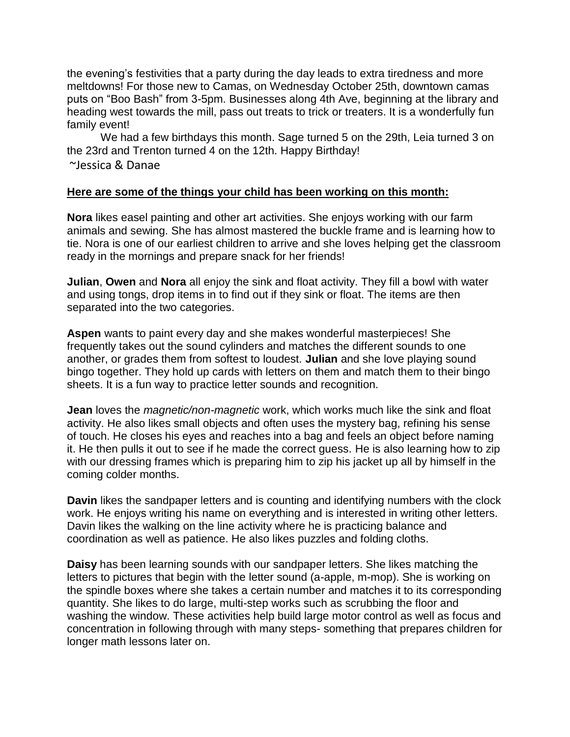the evening's festivities that a party during the day leads to extra tiredness and more meltdowns! For those new to Camas, on Wednesday October 25th, downtown camas puts on "Boo Bash" from 3-5pm. Businesses along 4th Ave, beginning at the library and heading west towards the mill, pass out treats to trick or treaters. It is a wonderfully fun family event!

We had a few birthdays this month. Sage turned 5 on the 29th, Leia turned 3 on the 23rd and Trenton turned 4 on the 12th. Happy Birthday! ~Jessica & Danae

## **Here are some of the things your child has been working on this month:**

**Nora** likes easel painting and other art activities. She enjoys working with our farm animals and sewing. She has almost mastered the buckle frame and is learning how to tie. Nora is one of our earliest children to arrive and she loves helping get the classroom ready in the mornings and prepare snack for her friends!

**Julian**, **Owen** and **Nora** all enjoy the sink and float activity. They fill a bowl with water and using tongs, drop items in to find out if they sink or float. The items are then separated into the two categories.

**Aspen** wants to paint every day and she makes wonderful masterpieces! She frequently takes out the sound cylinders and matches the different sounds to one another, or grades them from softest to loudest. **Julian** and she love playing sound bingo together. They hold up cards with letters on them and match them to their bingo sheets. It is a fun way to practice letter sounds and recognition.

**Jean** loves the *magnetic/non-magnetic* work, which works much like the sink and float activity. He also likes small objects and often uses the mystery bag, refining his sense of touch. He closes his eyes and reaches into a bag and feels an object before naming it. He then pulls it out to see if he made the correct guess. He is also learning how to zip with our dressing frames which is preparing him to zip his jacket up all by himself in the coming colder months.

**Davin** likes the sandpaper letters and is counting and identifying numbers with the clock work. He enjoys writing his name on everything and is interested in writing other letters. Davin likes the walking on the line activity where he is practicing balance and coordination as well as patience. He also likes puzzles and folding cloths.

**Daisy** has been learning sounds with our sandpaper letters. She likes matching the letters to pictures that begin with the letter sound (a-apple, m-mop). She is working on the spindle boxes where she takes a certain number and matches it to its corresponding quantity. She likes to do large, multi-step works such as scrubbing the floor and washing the window. These activities help build large motor control as well as focus and concentration in following through with many steps- something that prepares children for longer math lessons later on.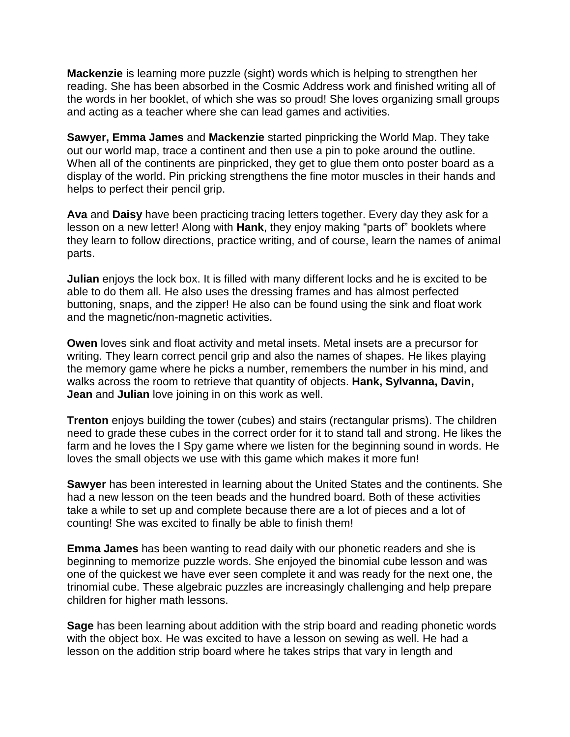**Mackenzie** is learning more puzzle (sight) words which is helping to strengthen her reading. She has been absorbed in the Cosmic Address work and finished writing all of the words in her booklet, of which she was so proud! She loves organizing small groups and acting as a teacher where she can lead games and activities.

**Sawyer, Emma James** and **Mackenzie** started pinpricking the World Map. They take out our world map, trace a continent and then use a pin to poke around the outline. When all of the continents are pinpricked, they get to glue them onto poster board as a display of the world. Pin pricking strengthens the fine motor muscles in their hands and helps to perfect their pencil grip.

**Ava** and **Daisy** have been practicing tracing letters together. Every day they ask for a lesson on a new letter! Along with **Hank**, they enjoy making "parts of" booklets where they learn to follow directions, practice writing, and of course, learn the names of animal parts.

**Julian** enjoys the lock box. It is filled with many different locks and he is excited to be able to do them all. He also uses the dressing frames and has almost perfected buttoning, snaps, and the zipper! He also can be found using the sink and float work and the magnetic/non-magnetic activities.

**Owen** loves sink and float activity and metal insets. Metal insets are a precursor for writing. They learn correct pencil grip and also the names of shapes. He likes playing the memory game where he picks a number, remembers the number in his mind, and walks across the room to retrieve that quantity of objects. **Hank, Sylvanna, Davin, Jean** and **Julian** love joining in on this work as well.

**Trenton** enjoys building the tower (cubes) and stairs (rectangular prisms). The children need to grade these cubes in the correct order for it to stand tall and strong. He likes the farm and he loves the I Spy game where we listen for the beginning sound in words. He loves the small objects we use with this game which makes it more fun!

**Sawyer** has been interested in learning about the United States and the continents. She had a new lesson on the teen beads and the hundred board. Both of these activities take a while to set up and complete because there are a lot of pieces and a lot of counting! She was excited to finally be able to finish them!

**Emma James** has been wanting to read daily with our phonetic readers and she is beginning to memorize puzzle words. She enjoyed the binomial cube lesson and was one of the quickest we have ever seen complete it and was ready for the next one, the trinomial cube. These algebraic puzzles are increasingly challenging and help prepare children for higher math lessons.

**Sage** has been learning about addition with the strip board and reading phonetic words with the object box. He was excited to have a lesson on sewing as well. He had a lesson on the addition strip board where he takes strips that vary in length and